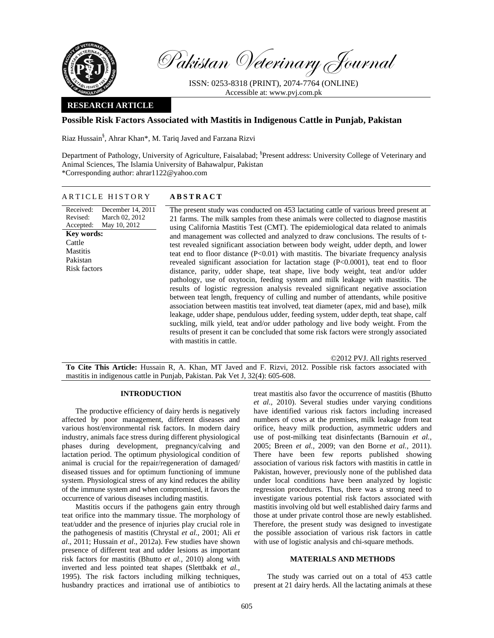

Pakistan Veterinary Journal

ISSN: 0253-8318 (PRINT), 2074-7764 (ONLINE) Accessible at: www.pvj.com.pk

## **RESEARCH ARTICLE**

# **Possible Risk Factors Associated with Mastitis in Indigenous Cattle in Punjab, Pakistan**

Riaz Hussain§ , Ahrar Khan\*, M. Tariq Javed and Farzana Rizvi

Department of Pathology, University of Agriculture, Faisalabad; <sup>§</sup>Present address: University College of Veterinary and Animal Sciences, The Islamia University of Bahawalpur, Pakistan \*Corresponding author: ahrar1122@yahoo.com

## ARTICLE HISTORY **ABSTRACT**

Received: Revised: Accepted: December 14, 2011 March 02, 2012 May 10, 2012 **Key words:**  Cattle **Mastitis** Pakistan Risk factors The present study was conducted on 453 lactating cattle of various breed present at 21 farms. The milk samples from these animals were collected to diagnose mastitis using California Mastitis Test (CMT). The epidemiological data related to animals and management was collected and analyzed to draw conclusions. The results of ttest revealed significant association between body weight, udder depth, and lower teat end to floor distance  $(P<0.01)$  with mastitis. The bivariate frequency analysis revealed significant association for lactation stage (P<0.0001), teat end to floor distance, parity, udder shape, teat shape, live body weight, teat and/or udder pathology, use of oxytocin, feeding system and milk leakage with mastitis. The results of logistic regression analysis revealed significant negative association between teat length, frequency of culling and number of attendants, while positive association between mastitis teat involved, teat diameter (apex, mid and base), milk leakage, udder shape, pendulous udder, feeding system, udder depth, teat shape, calf suckling, milk yield, teat and/or udder pathology and live body weight. From the results of present it can be concluded that some risk factors were strongly associated with mastitis in cattle.

©2012 PVJ. All rights reserved

**To Cite This Article:** Hussain R, A. Khan, MT Javed and F. Rizvi, 2012. Possible risk factors associated with mastitis in indigenous cattle in Punjab, Pakistan. Pak Vet J, 32(4): 605-608.

## **INTRODUCTION**

The productive efficiency of dairy herds is negatively affected by poor management, different diseases and various host/environmental risk factors. In modern dairy industry, animals face stress during different physiological phases during development, pregnancy/calving and lactation period. The optimum physiological condition of animal is crucial for the repair/regeneration of damaged/ diseased tissues and for optimum functioning of immune system. Physiological stress of any kind reduces the ability of the immune system and when compromised, it favors the occurrence of various diseases including mastitis.

Mastitis occurs if the pathogens gain entry through teat orifice into the mammary tissue. The morphology of teat/udder and the presence of injuries play crucial role in the pathogenesis of mastitis (Chrystal *et al.*, 2001; Ali *et al*., 2011; Hussain *et al*., 2012a). Few studies have shown presence of different teat and udder lesions as important risk factors for mastitis (Bhutto *et al.,* 2010) along with inverted and less pointed teat shapes (Slettbakk *et al.,* 1995). The risk factors including milking techniques, husbandry practices and irrational use of antibiotics to

treat mastitis also favor the occurrence of mastitis (Bhutto *et al.,* 2010). Several studies under varying conditions have identified various risk factors including increased numbers of cows at the premises, milk leakage from teat orifice, heavy milk production, asymmetric udders and use of post-milking teat disinfectants (Barnouin *et al.,* 2005; Breen *et al.,* 2009; van den Borne *et al.,* 2011). There have been few reports published showing association of various risk factors with mastitis in cattle in Pakistan, however, previously none of the published data under local conditions have been analyzed by logistic regression procedures. Thus, there was a strong need to investigate various potential risk factors associated with mastitis involving old but well established dairy farms and those at under private control those are newly established. Therefore, the present study was designed to investigate the possible association of various risk factors in cattle with use of logistic analysis and chi-square methods.

#### **MATERIALS AND METHODS**

The study was carried out on a total of 453 cattle present at 21 dairy herds. All the lactating animals at these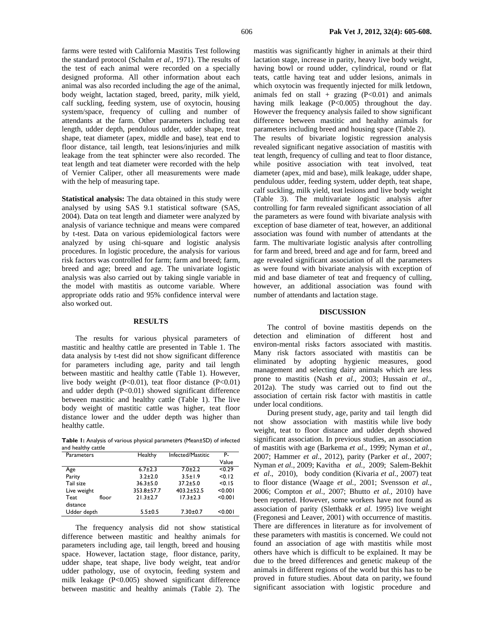farms were tested with California Mastitis Test following the standard protocol (Schalm *et al*., 1971). The results of the test of each animal were recorded on a specially designed proforma. All other information about each animal was also recorded including the age of the animal, body weight, lactation staged, breed, parity, milk yield, calf suckling, feeding system, use of oxytocin, housing system/space, frequency of culling and number of attendants at the farm. Other parameters including teat length, udder depth, pendulous udder, udder shape, treat shape, teat diameter (apex, middle and base), teat end to floor distance, tail length, teat lesions/injuries and milk leakage from the teat sphincter were also recorded. The teat length and teat diameter were recorded with the help of Vernier Caliper, other all measurements were made with the help of measuring tape.

**Statistical analysis:** The data obtained in this study were analysed by using SAS 9.1 statistical software (SAS, 2004). Data on teat length and diameter were analyzed by analysis of variance technique and means were compared by t-test. Data on various epidemiological factors were analyzed by using chi-square and logistic analysis procedures. In logistic procedure, the analysis for various risk factors was controlled for farm; farm and breed; farm, breed and age; breed and age. The univariate logistic analysis was also carried out by taking single variable in the model with mastitis as outcome variable. Where appropriate odds ratio and 95% confidence interval were also worked out.

#### **RESULTS**

The results for various physical parameters of mastitic and healthy cattle are presented in Table 1. The data analysis by t-test did not show significant difference for parameters including age, parity and tail length between mastitic and healthy cattle (Table 1). However, live body weight (P<0.01), teat floor distance (P<0.01) and udder depth  $(P<0.01)$  showed significant difference between mastitic and healthy cattle (Table 1). The live body weight of mastitic cattle was higher, teat floor distance lower and the udder depth was higher than healthy cattle.

**Table 1:** Analysis of various physical parameters (Mean±SD) of infected and healthy cattle

| Parameters  |       | Healthy        | Infected/Mastitic | Р.      |
|-------------|-------|----------------|-------------------|---------|
|             |       |                |                   | Value   |
| Age         |       | $6.7 \pm 2.3$  | $7.0 + 2.2$       | < 0.29  |
| Parity      |       | $3.2 \pm 2.0$  | $3.5 \pm 1.9$     | < 0.12  |
| Tail size   |       | $36.3 \pm 5.0$ | $37.2 \pm 5.0$    | < 0.15  |
| Live weight |       | 353.8±57.7     | $403.2 \pm 52.5$  | < 0.001 |
| Teat        | floor | $21.3 \pm 2.7$ | $17.3 + 2.3$      | < 0.001 |
| distance    |       |                |                   |         |
| Udder depth |       | $5.5 \pm 0.5$  | $7.30 \pm 0.7$    | < 0.001 |

The frequency analysis did not show statistical difference between mastitic and healthy animals for parameters including age, tail length, breed and housing space. However, lactation stage, floor distance, parity, udder shape, teat shape, live body weight, teat and/or udder pathology, use of oxytocin, feeding system and milk leakage (P<0.005) showed significant difference between mastitic and healthy animals (Table 2). The

mastitis was significantly higher in animals at their third lactation stage, increase in parity, heavy live body weight, having bowl or round udder, cylindrical, round or flat teats, cattle having teat and udder lesions, animals in which oxytocin was frequently injected for milk letdown, animals fed on stall + grazing  $(P<0.01)$  and animals having milk leakage (P<0.005) throughout the day. However the frequency analysis failed to show significant difference between mastitic and healthy animals for parameters including breed and housing space (Table 2). The results of bivariate logistic regression analysis revealed significant negative association of mastitis with teat length, frequency of culling and teat to floor distance, while positive association with teat involved, teat diameter (apex, mid and base), milk leakage, udder shape, pendulous udder, feeding system, udder depth, teat shape, calf suckling, milk yield, teat lesions and live body weight (Table 3). The multivariate logistic analysis after controlling for farm revealed significant association of all the parameters as were found with bivariate analysis with exception of base diameter of teat, however, an additional association was found with number of attendants at the farm. The multivariate logistic analysis after controlling for farm and breed, breed and age and for farm, breed and age revealed significant association of all the parameters as were found with bivariate analysis with exception of mid and base diameter of teat and frequency of culling, however, an additional association was found with number of attendants and lactation stage.

#### **DISCUSSION**

The control of bovine mastitis depends on the detection and elimination of different host and environ-mental risks factors associated with mastitis. Many risk factors associated with mastitis can be eliminated by adopting hygienic measures, good management and selecting dairy animals which are less prone to mastitis (Nash *et al.,* 2003; Hussain *et al*., 2012a). The study was carried out to find out the association of certain risk factor with mastitis in cattle under local conditions.

During present study, age, parity and tail length did not show association with mastitis while live body weight, teat to floor distance and udder depth showed significant association. In previous studies, an association of mastitis with age (Barkema *et al.,* 1999; Nyman *et al.,* 2007; Hammer *et al*., 2012), parity (Parker *et al.,* 2007; Nyman *et al.,* 2009; Kavitha *et al.,* 2009; Salem-Bekhit *et al*., 2010), body condition (Kivaria *et al.,* 2007) teat to floor distance (Waage *et al.,* 2001; Svensson *et al.,* 2006; Compton *et al.,* 2007; Bhutto *et al.,* 2010) have been reported. However, some workers have not found as association of parity (Slettbakk *et al.* 1995) live weight (Fregonesi and Leaver, 2001) with occurrence of mastitis. There are differences in literature as for involvement of these parameters with mastitis is concerned. We could not found an association of age with mastitis while most others have which is difficult to be explained. It may be due to the breed differences and genetic makeup of the animals in different regions of the world but this has to be proved in future studies. About data on parity, we found significant association with logistic procedure and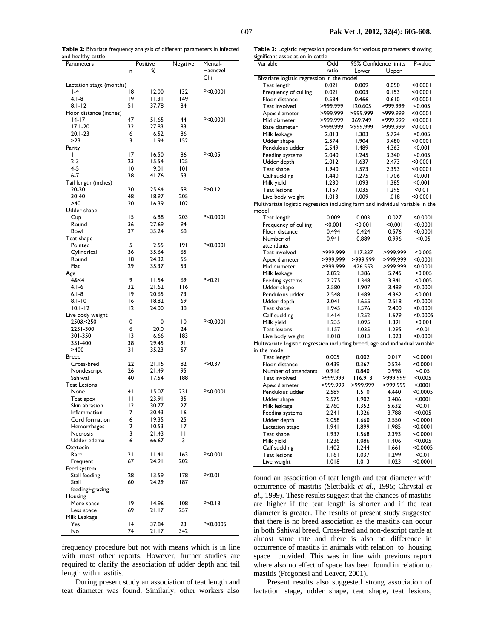**Table 2:** Bivariate frequency analysis of different parameters in infected and healthy cattle

 $\overline{\phantom{a}}$ 

J.

**Table 3:** Logistic regression procedure for various parameters showing significant association in cattle

| Parameters                     | Positive                 |                | Negative   | Mental-    |  |  |  |  |  |  |
|--------------------------------|--------------------------|----------------|------------|------------|--|--|--|--|--|--|
|                                | n                        | ℅              |            | Haenszel   |  |  |  |  |  |  |
|                                |                          |                |            | Chi        |  |  |  |  |  |  |
|                                | Lactation stage (months) |                |            |            |  |  |  |  |  |  |
| $I - 4$                        | 18                       | 12.00          | 132        | P<0.0001   |  |  |  |  |  |  |
| $4.1 - 8$                      | 19                       | 11.31          | 149        |            |  |  |  |  |  |  |
| $8.1 - 12$                     | 51                       | 37.78          | 84         |            |  |  |  |  |  |  |
| Floor distance (inches)        |                          |                |            |            |  |  |  |  |  |  |
| 14-17                          | 47                       | 51.65          | 44         | P<0.0001   |  |  |  |  |  |  |
| $17.1 - 20$                    | 32                       | 27.83          | 83         |            |  |  |  |  |  |  |
| 20.1-23                        | 6                        | 6.52           | 86         |            |  |  |  |  |  |  |
| >23                            | 3                        | 1.94           | 152        |            |  |  |  |  |  |  |
| Parity                         |                          |                |            |            |  |  |  |  |  |  |
| ı<br>$2 - 3$                   | 17<br>23                 | 16.50          | 86         | P < 0.05   |  |  |  |  |  |  |
| 4-5                            | 10                       | 15.54          | 125<br>101 |            |  |  |  |  |  |  |
| 6-7                            | 38                       | 9.01<br>41.76  | 53         |            |  |  |  |  |  |  |
| Tail length (inches)           |                          |                |            |            |  |  |  |  |  |  |
| 20-30                          | 20                       | 25.64          | 58         | P>0.12     |  |  |  |  |  |  |
| 30-40                          | 48                       | 18.97          | 205        |            |  |  |  |  |  |  |
| >40                            | 20                       | 16.39          | 102        |            |  |  |  |  |  |  |
| Udder shape                    |                          |                |            |            |  |  |  |  |  |  |
| Cup                            | 15                       | 6.88           | 203        | P<0.0001   |  |  |  |  |  |  |
| Round                          | 36                       | 27.69          | 94         |            |  |  |  |  |  |  |
| Bowl                           | 37                       | 35.24          | 68         |            |  |  |  |  |  |  |
| Teat shape                     |                          |                |            |            |  |  |  |  |  |  |
| Pointed                        | 5                        | 2.55           | 191        | P < 0.0001 |  |  |  |  |  |  |
| Cylindrical                    | 36                       | 35.64          | 65         |            |  |  |  |  |  |  |
| Round                          | 18                       | 24.32          | 56         |            |  |  |  |  |  |  |
| Flat                           | 29                       | 35.37          | 53         |            |  |  |  |  |  |  |
| Age                            |                          |                |            |            |  |  |  |  |  |  |
| 48< 4                          | 9                        | 11.54          | 69         | P > 0.21   |  |  |  |  |  |  |
| $4.1 - 6$                      | 32                       | 21.62          | I 16       |            |  |  |  |  |  |  |
| $6.1 - 8$                      | 19                       | 20.65          | 73         |            |  |  |  |  |  |  |
| $8.1 - 10$                     | 16                       | 18.82          | 69         |            |  |  |  |  |  |  |
| $10.1 - 12$                    | 12                       | 24.00          | 38         |            |  |  |  |  |  |  |
| Live body weight               |                          |                |            |            |  |  |  |  |  |  |
| 250&<250                       | 0                        | 0              | 10         | P<0.0001   |  |  |  |  |  |  |
| 2251-300                       | 6                        | 20.0           | 24         |            |  |  |  |  |  |  |
| 301-350                        | 13                       | 6.66           | 183        |            |  |  |  |  |  |  |
| 351-400                        | 38                       | 29.45          | 91         |            |  |  |  |  |  |  |
| >400                           | 31                       | 35.23          | 57         |            |  |  |  |  |  |  |
| Breed                          |                          |                |            |            |  |  |  |  |  |  |
| Cross-bred                     | 22                       | 21.15          | 82         | P>0.37     |  |  |  |  |  |  |
| Nondescript                    | 26                       | 21.49          | 95         |            |  |  |  |  |  |  |
| Sahiwal                        | 40                       | 17.54          | 188        |            |  |  |  |  |  |  |
| <b>Teat Lesions</b>            |                          |                |            |            |  |  |  |  |  |  |
| None                           | 4 <sub>1</sub>           | 15.07          | 23 I       | P<0.0001   |  |  |  |  |  |  |
| Teat apex                      | П                        | 23.91          | 35         |            |  |  |  |  |  |  |
| Skin abrasion                  | 12                       | 30.77          | 27         |            |  |  |  |  |  |  |
| Inflammation<br>Cord formation | 7<br>6                   | 30.43          | 16<br>25   |            |  |  |  |  |  |  |
|                                | 2                        | 19.35<br>10.53 | 17         |            |  |  |  |  |  |  |
| Hemorrhages<br>Necrosis        | 3                        | 21.43          | П          |            |  |  |  |  |  |  |
| Udder edema                    | 6                        | 66.67          | 3          |            |  |  |  |  |  |  |
| Oxytocin                       |                          |                |            |            |  |  |  |  |  |  |
| Rare                           | 21                       | 1.4            | 163        | P < 0.001  |  |  |  |  |  |  |
| Frequent                       | 67                       | 24.91          | 202        |            |  |  |  |  |  |  |
| Feed system                    |                          |                |            |            |  |  |  |  |  |  |
| Stall feeding                  | 28                       | 13.59          | 178        | P<0.01     |  |  |  |  |  |  |
| Stall                          | 60                       | 24.29          | 187        |            |  |  |  |  |  |  |
| feeding+grazing                |                          |                |            |            |  |  |  |  |  |  |
| Housing                        |                          |                |            |            |  |  |  |  |  |  |
| More space                     | 19                       | 14.96          | 108        | P>0.13     |  |  |  |  |  |  |
| Less space                     | 69                       | 21.17          | 257        |            |  |  |  |  |  |  |
| Milk Leakage                   |                          |                |            |            |  |  |  |  |  |  |
| Yes                            | $\overline{14}$          | 37.84          | 23         | P<0.0005   |  |  |  |  |  |  |
| No                             | 74                       | 21.17          | 342        |            |  |  |  |  |  |  |

frequency procedure but not with means which is in line with most other reports. However, further studies are required to clarify the association of udder depth and tail length with mastitis.

During present study an association of teat length and teat diameter was found. Similarly, other workers also

| Variable                                                                       | Odd            | 95% Confidence limits |          | P-value     |
|--------------------------------------------------------------------------------|----------------|-----------------------|----------|-------------|
|                                                                                | ratio          | Lower                 | Upper    |             |
| Bivariate logistic regression in the model                                     |                |                       |          |             |
| Teat length                                                                    | 0.021          | 0.009                 | 0.050    | < 0.0001    |
| Frequency of culling                                                           | 0.021          | 0.003                 | 0.153    | < 0.0001    |
| Floor distance                                                                 | 0.534          | 0.466                 | 0.610    | < 0.0001    |
| Teat involved                                                                  | >999.999       | 120.605               | >999.999 | < 0.005     |
| Apex diameter                                                                  | >999.999       | >999.999              | >999.999 | < 0.0001    |
| Mid diameter                                                                   | >999.999       | 369.749               | >999.999 | <0.0001     |
| Base diameter                                                                  | >999.999       | >999.999              | >999.999 | $<$ 0.000 l |
| Milk leakage                                                                   | 2.813          | 1.383                 | 5.724    | < 0.005     |
| Udder shape                                                                    | 2.574          | 1.904                 | 3.480    | < 0.0001    |
| Pendulous udder                                                                | 2.549          | 1.489                 | 4.363    | < 0.001     |
| Feeding systems                                                                | 2.040          | 1.245                 | 3.340    | < 0.005     |
| Udder depth                                                                    | 2.012          | 1.637                 | 2.473    | < 0.0001    |
| Teat shape                                                                     | 1.940          | 1.573                 | 2.393    | < 0.0001    |
| Calf suckling                                                                  | 1.440          | 1.275                 | 1.706    | < 0.001     |
| Milk yield                                                                     | 1.230          | 1.093                 | 1.385    | < 0.001     |
| <b>Teat lesions</b>                                                            | 1.157          | 1.035                 | 1.295    | < 0.01      |
| Live body weight                                                               | 1.013          | 1.009                 | 1.018    | < 0.0001    |
| Multivariate logistic regression including farm and individual variable in the |                |                       |          |             |
| model                                                                          |                |                       |          |             |
| Teat length                                                                    | 0.009          | 0.003                 | 0.027    | < 0.0001    |
| Frequency of culling                                                           | < 0.001        | < 0.001               | < 0.001  | < 0.0001    |
| Floor distance                                                                 | 0.494          | 0.424                 | 0.576    | < 0.0001    |
| Number of                                                                      | 0.941          | 0.889                 | 0.996    | < 0.05      |
| attendants                                                                     |                |                       |          |             |
| Teat involved                                                                  | >999.999       | 117.337               | >999.999 | < 0.005     |
| Apex diameter                                                                  | >999.999       | >999.999              | >999.999 | $<$ 0.000 l |
| Mid diameter                                                                   | >999.999       | 426.553               | >999.999 | $<$ 0.000 l |
| Milk leakage                                                                   | 2.822          | 1.386                 | 5.745    | < 0.005     |
| Feeding systems                                                                | 2.275          | 1.348                 | 3.841    | < 0.005     |
| Udder shape                                                                    | 2.580          | 1.907                 | 3.489    | < 0.0001    |
| Pendulous udder                                                                | 2.548          | 1.489                 | 4.362    | < 0.001     |
| Udder depth                                                                    | 2.041          | 1.655                 | 2.518    | < 0.0001    |
| Teat shape                                                                     | 1.945          | 1.576                 | 2.400    | < 0.0001    |
| Calf suckling                                                                  | 1.414          | 1.252                 | 1.679    | < 0.0005    |
| Milk yield                                                                     | 1.235          | 1.095                 | 1.391    | < 0.001     |
| <b>Teat lesions</b>                                                            | I.I57          | 1.035                 | 1.295    | < 0.01      |
| Live body weight                                                               | 1.018          | 1.013                 | 1.023    | < 0.0001    |
| Multivariate logistic regression including breed, age and individual variable  |                |                       |          |             |
| in the model                                                                   |                |                       |          |             |
| Teat length                                                                    | 0.005          | 0.002                 | 0.017    | < 0.0001    |
| Floor distance                                                                 | 0.439          | 0.367                 | 0.524    | < 0.0001    |
| Number of attendants                                                           | 0.916          | 0.840                 | 0.998    | < 0.05      |
| Teat involved                                                                  | >999.999       | 116.913               | >999.999 | < 0.005     |
| Apex diameter                                                                  | >999.999       | >999.999              | >999.999 | < 0001      |
| Pendulous udder                                                                | 2.589          | 1.510                 | 4.440    | < 0.0005    |
| Udder shape                                                                    | 2.575          | 1.902                 | 3.486    | < 0001      |
| Milk leakage                                                                   | 2.760          | 1.352                 | 5.632    | 10.01       |
| Feeding systems                                                                | 2.241          | 1.326                 | 3.788    | < 0.005     |
| Udder depth                                                                    | 2.058          | 1.660                 | 2.550    | $<$ 0.000 l |
|                                                                                | 1.941          | 1.899                 | 1.985    | < 0.0001    |
| Lactation stage                                                                | 1.937          | 1.568                 | 2.393    | < 0.0001    |
| Teat shape                                                                     | 1.236          | 1.086                 | 1.406    | < 0.005     |
| Milk yield                                                                     | 1.402          | 1.244                 | 1.661    | < 0.0005    |
| Calf suckling                                                                  |                |                       | 1.299    | < 0.01      |
| Teat lesions                                                                   | I.I6I<br>1.018 | 1.037                 |          | < 0.0001    |
| Live weight                                                                    |                | 1.013                 | 1.023    |             |

found an association of teat length and teat diameter with occurrence of mastitis (Slettbakk *et al.,* 1995; Chrystal *et al.,* 1999). These results suggest that the chances of mastitis are higher if the teat length is shorter and if the teat diameter is greater. The results of present study suggested that there is no breed association as the mastitis can occur in both Sahiwal breed, Cross-bred and non-descript cattle at almost same rate and there is also no difference in occurrence of mastitis in animals with relation to housing space provided. This was in line with previous report where also no effect of space has been found in relation to mastitis (Fregonesi and Leaver, 2001).

 Present results also suggested strong association of lactation stage, udder shape, teat shape, teat lesions,